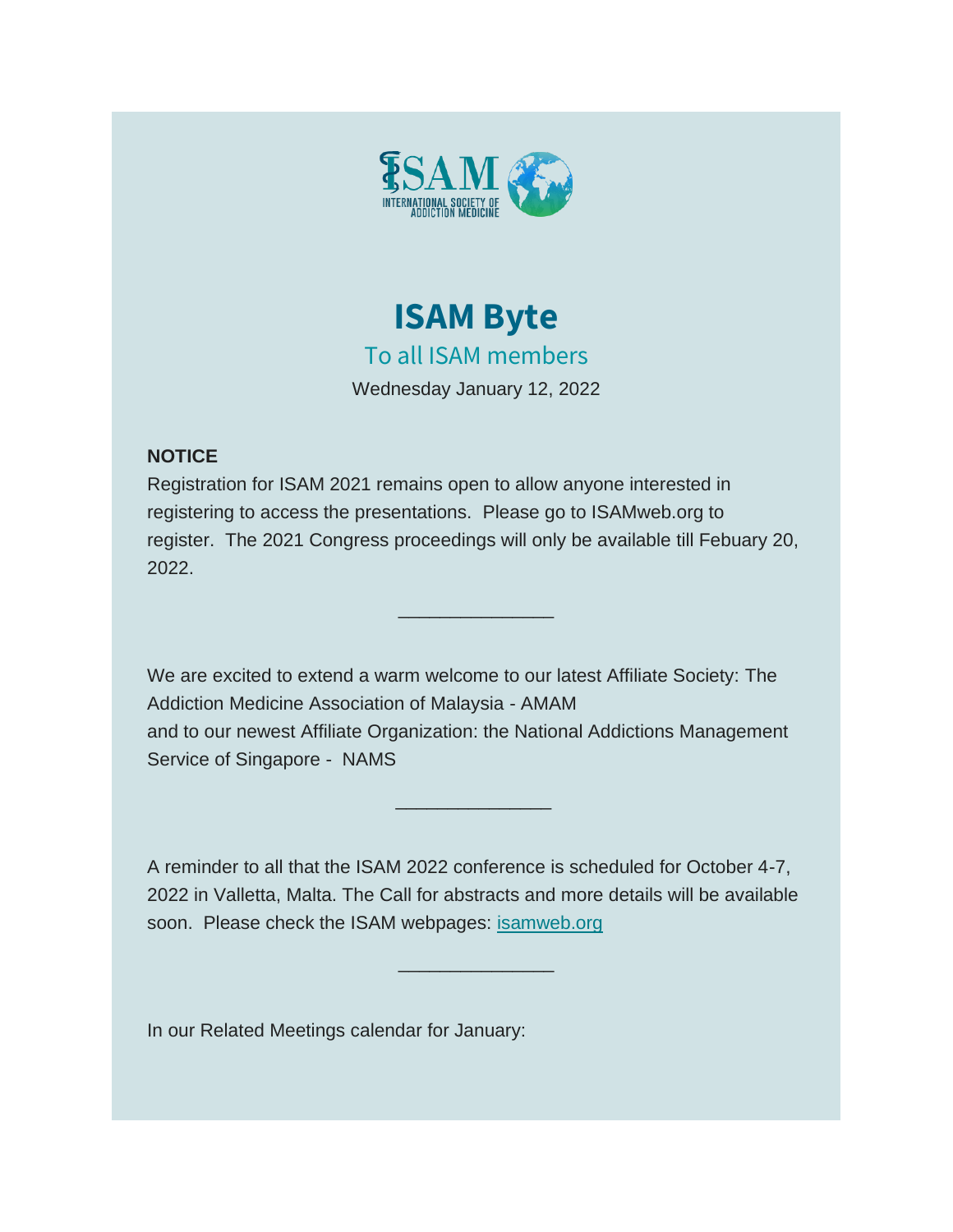



## **NOTICE**

Registration for ISAM 2021 remains open to allow anyone interested in registering to access the presentations. Please go to ISAMweb.org to register. The 2021 Congress proceedings will only be available till Febuary 20, 2022.

 $\overline{\phantom{a}}$  , where  $\overline{\phantom{a}}$ 

We are excited to extend a warm welcome to our latest Affiliate Society: The Addiction Medicine Association of Malaysia - AMAM and to our newest Affiliate Organization: the National Addictions Management Service of Singapore - NAMS

A reminder to all that the ISAM 2022 conference is scheduled for October 4-7, 2022 in Valletta, Malta. The Call for abstracts and more details will be available soon. Please check the ISAM webpages: [isamweb.org](http://isamweb.org/)

 $\overline{\phantom{a}}$  , where  $\overline{\phantom{a}}$  , where  $\overline{\phantom{a}}$ 

\_\_\_\_\_\_\_\_\_\_\_\_\_\_\_

In our Related Meetings calendar for January: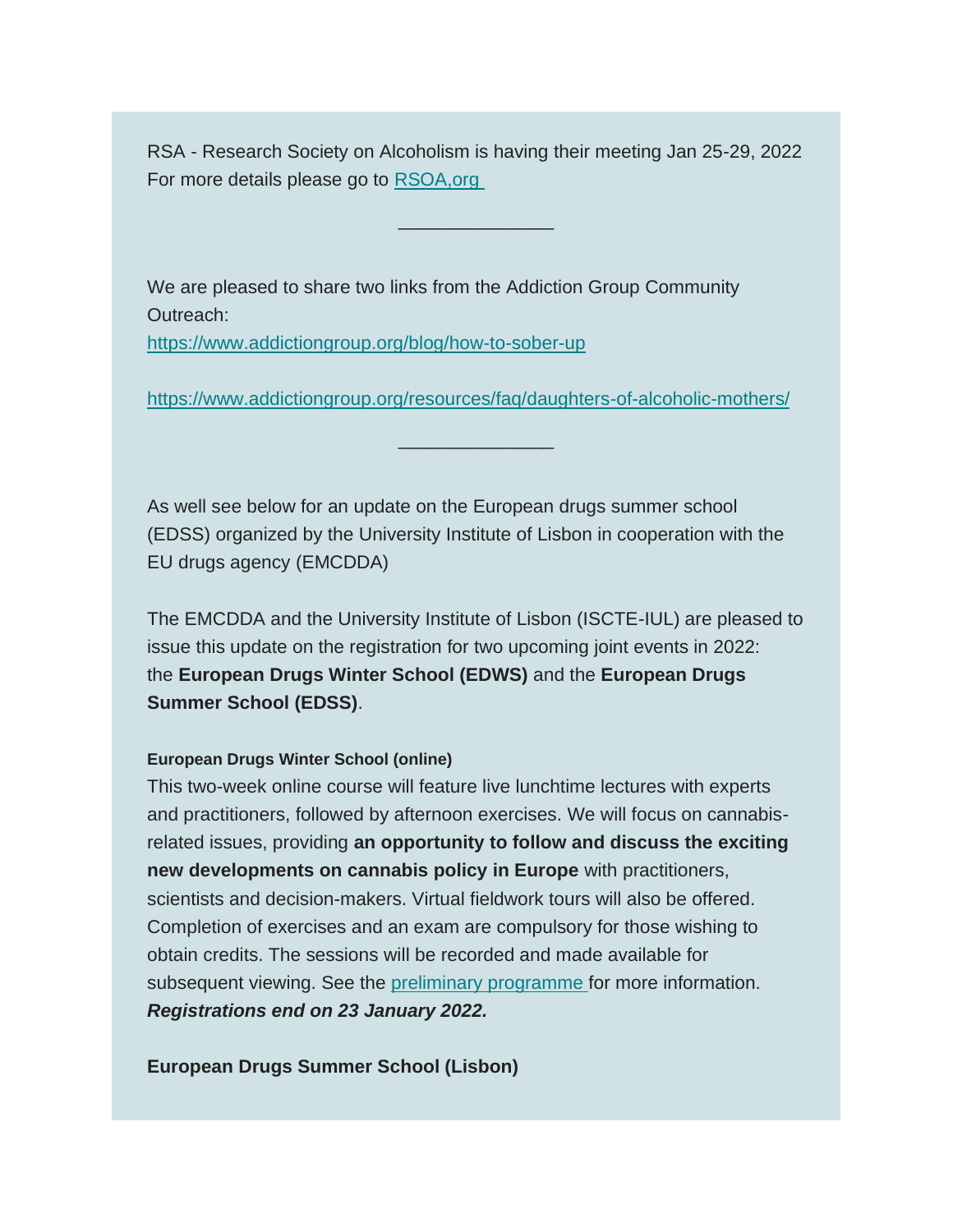RSA - Research Society on Alcoholism is having their meeting Jan 25-29, 2022 For more details please go to [RSOA,org](https://isamweb.us1.list-manage.com/track/click?u=6f25acd42247bd36dfea2dcda&id=869aa087f4&e=9a8334b845)

 $\overline{\phantom{a}}$  , where  $\overline{\phantom{a}}$ 

We are pleased to share two links from the Addiction Group Community Outreach:

[https://www.addictiongroup.org/blog/how-to-sober-up](https://isamweb.us1.list-manage.com/track/click?u=6f25acd42247bd36dfea2dcda&id=99a9586034&e=9a8334b845)

[https://www.addictiongroup.org/resources/faq/daughters-of-alcoholic-mothers/](https://isamweb.us1.list-manage.com/track/click?u=6f25acd42247bd36dfea2dcda&id=4cb4059938&e=9a8334b845)

 $\overline{\phantom{a}}$  , where  $\overline{\phantom{a}}$ 

As well see below for an update on the European drugs summer school (EDSS) organized by the University Institute of Lisbon in cooperation with the EU drugs agency (EMCDDA)

The EMCDDA and the University Institute of Lisbon (ISCTE-IUL) are pleased to issue this update on the registration for two upcoming joint events in 2022: the **European Drugs Winter School (EDWS)** and the **European Drugs Summer School (EDSS)**.

## **European Drugs Winter School (online)**

This two-week online course will feature live lunchtime lectures with experts and practitioners, followed by afternoon exercises. We will focus on cannabisrelated issues, providing **an opportunity to follow and discuss the exciting new developments on cannabis policy in Europe** with practitioners, scientists and decision-makers. Virtual fieldwork tours will also be offered. Completion of exercises and an exam are compulsory for those wishing to obtain credits. The sessions will be recorded and made available for subsequent viewing. See the [preliminary programme](https://isamweb.us1.list-manage.com/track/click?u=6f25acd42247bd36dfea2dcda&id=061283ec2a&e=9a8334b845) for more information. *Registrations end on 23 January 2022.*

**European Drugs Summer School (Lisbon)**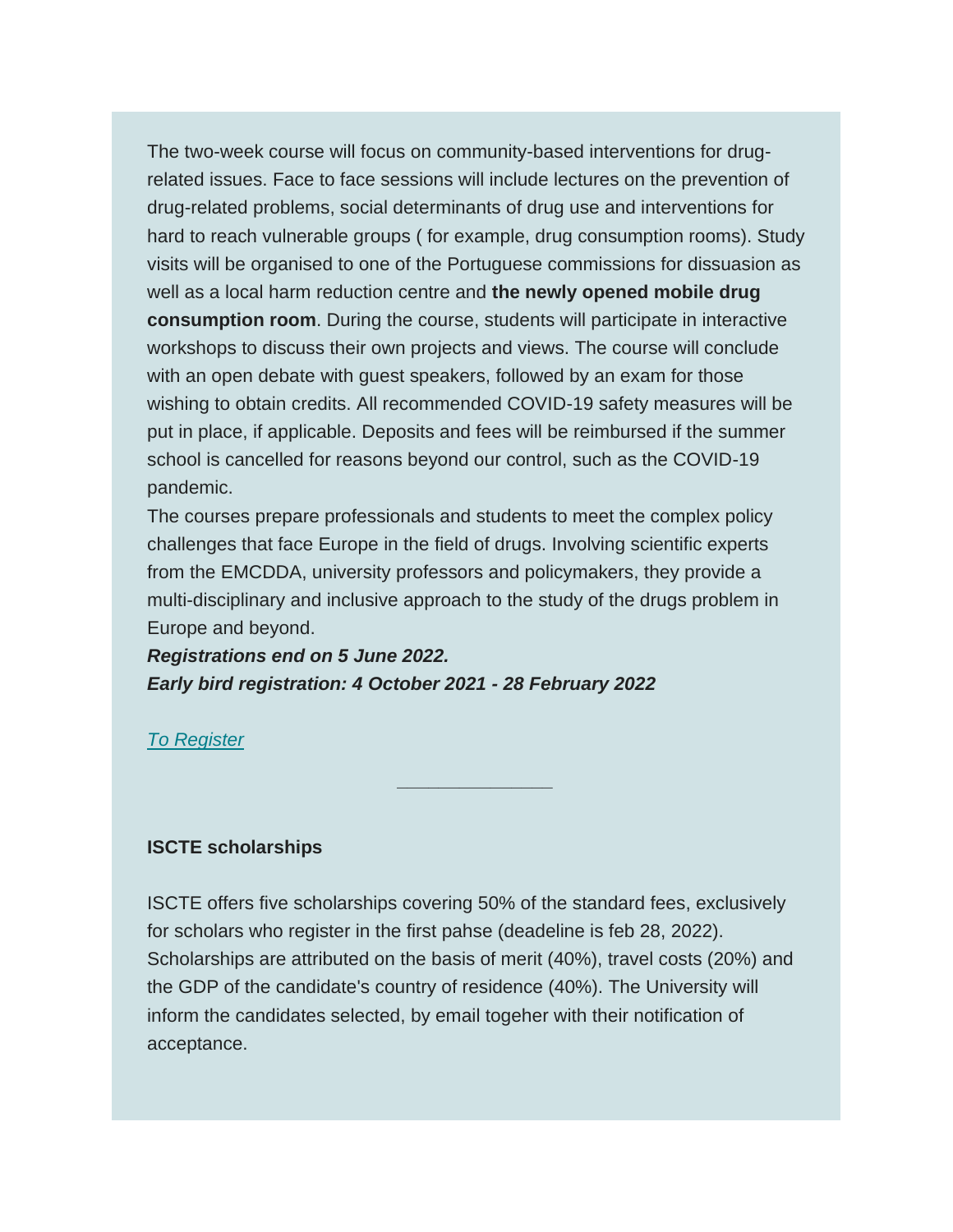The two-week course will focus on community-based interventions for drugrelated issues. Face to face sessions will include lectures on the prevention of drug-related problems, social determinants of drug use and interventions for hard to reach vulnerable groups ( for example, drug consumption rooms). Study visits will be organised to one of the Portuguese commissions for dissuasion as well as a local harm reduction centre and **the newly opened mobile drug consumption room**. During the course, students will participate in interactive workshops to discuss their own projects and views. The course will conclude with an open debate with guest speakers, followed by an exam for those wishing to obtain credits. All recommended COVID-19 safety measures will be put in place, if applicable. Deposits and fees will be reimbursed if the summer school is cancelled for reasons beyond our control, such as the COVID-19 pandemic.

The courses prepare professionals and students to meet the complex policy challenges that face Europe in the field of drugs. Involving scientific experts from the EMCDDA, university professors and policymakers, they provide a multi-disciplinary and inclusive approach to the study of the drugs problem in Europe and beyond.

*Registrations end on 5 June 2022. Early bird registration: 4 October 2021 - 28 February 2022*

*[To Register](https://isamweb.us1.list-manage.com/track/click?u=6f25acd42247bd36dfea2dcda&id=f7ed96a093&e=9a8334b845)*

## **ISCTE scholarships**

ISCTE offers five scholarships covering 50% of the standard fees, exclusively for scholars who register in the first pahse (deadeline is feb 28, 2022). Scholarships are attributed on the basis of merit (40%), travel costs (20%) and the GDP of the candidate's country of residence (40%). The University will inform the candidates selected, by email togeher with their notification of acceptance.

*\_\_\_\_\_\_\_\_\_\_\_\_\_\_\_*